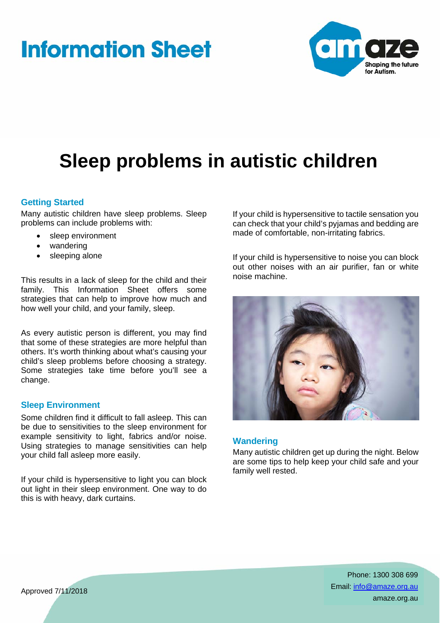# **Information Sheet**



# **Sleep problems in autistic children**

#### **Getting Started**

Many autistic children have sleep problems. Sleep problems can include problems with:

- sleep environment
- wandering
- sleeping alone

This results in a lack of sleep for the child and their family. This Information Sheet offers some strategies that can help to improve how much and how well your child, and your family, sleep.

As every autistic person is different, you may find that some of these strategies are more helpful than others. It's worth thinking about what's causing your child's sleep problems before choosing a strategy. Some strategies take time before you'll see a change.

#### **Sleep Environment**

Some children find it difficult to fall asleep. This can be due to sensitivities to the sleep environment for example sensitivity to light, fabrics and/or noise. Using strategies to manage sensitivities can help your child fall asleep more easily.

If your child is hypersensitive to light you can block out light in their sleep environment. One way to do this is with heavy, dark curtains.

If your child is hypersensitive to tactile sensation you can check that your child's pyjamas and bedding are made of comfortable, non-irritating fabrics.

If your child is hypersensitive to noise you can block out other noises with an air purifier, fan or white noise machine.



#### **Wandering**

Many autistic children get up during the night. Below are some tips to help keep your child safe and your family well rested.

> Phone: 1300 308 699 Email: info@amaze.org.au amaze.org.au

Approved 7/11/2018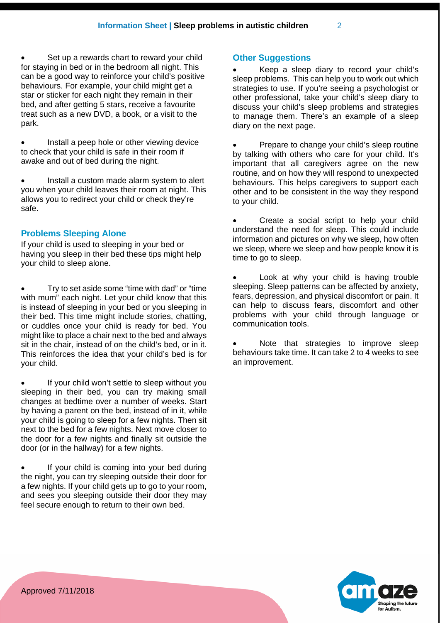Set up a rewards chart to reward your child for staying in bed or in the bedroom all night. This can be a good way to reinforce your child's positive behaviours. For example, your child might get a star or sticker for each night they remain in their bed, and after getting 5 stars, receive a favourite treat such as a new DVD, a book, or a visit to the park.

 Install a peep hole or other viewing device to check that your child is safe in their room if awake and out of bed during the night.

 Install a custom made alarm system to alert you when your child leaves their room at night. This allows you to redirect your child or check they're safe.

# **Problems Sleeping Alone**

If your child is used to sleeping in your bed or having you sleep in their bed these tips might help your child to sleep alone.

 Try to set aside some "time with dad" or "time with mum" each night. Let your child know that this is instead of sleeping in your bed or you sleeping in their bed. This time might include stories, chatting, or cuddles once your child is ready for bed. You might like to place a chair next to the bed and always sit in the chair, instead of on the child's bed, or in it. This reinforces the idea that your child's bed is for your child.

 If your child won't settle to sleep without you sleeping in their bed, you can try making small changes at bedtime over a number of weeks. Start by having a parent on the bed, instead of in it, while your child is going to sleep for a few nights. Then sit next to the bed for a few nights. Next move closer to the door for a few nights and finally sit outside the door (or in the hallway) for a few nights.

 If your child is coming into your bed during the night, you can try sleeping outside their door for a few nights. If your child gets up to go to your room, and sees you sleeping outside their door they may feel secure enough to return to their own bed.

# **Other Suggestions**

 Keep a sleep diary to record your child's sleep problems. This can help you to work out which strategies to use. If you're seeing a psychologist or other professional, take your child's sleep diary to discuss your child's sleep problems and strategies to manage them. There's an example of a sleep diary on the next page.

 Prepare to change your child's sleep routine by talking with others who care for your child. It's important that all caregivers agree on the new routine, and on how they will respond to unexpected behaviours. This helps caregivers to support each other and to be consistent in the way they respond to your child.

 Create a social script to help your child understand the need for sleep. This could include information and pictures on why we sleep, how often we sleep, where we sleep and how people know it is time to go to sleep.

 Look at why your child is having trouble sleeping. Sleep patterns can be affected by anxiety, fears, depression, and physical discomfort or pain. It can help to discuss fears, discomfort and other problems with your child through language or communication tools.

 Note that strategies to improve sleep behaviours take time. It can take 2 to 4 weeks to see an improvement.